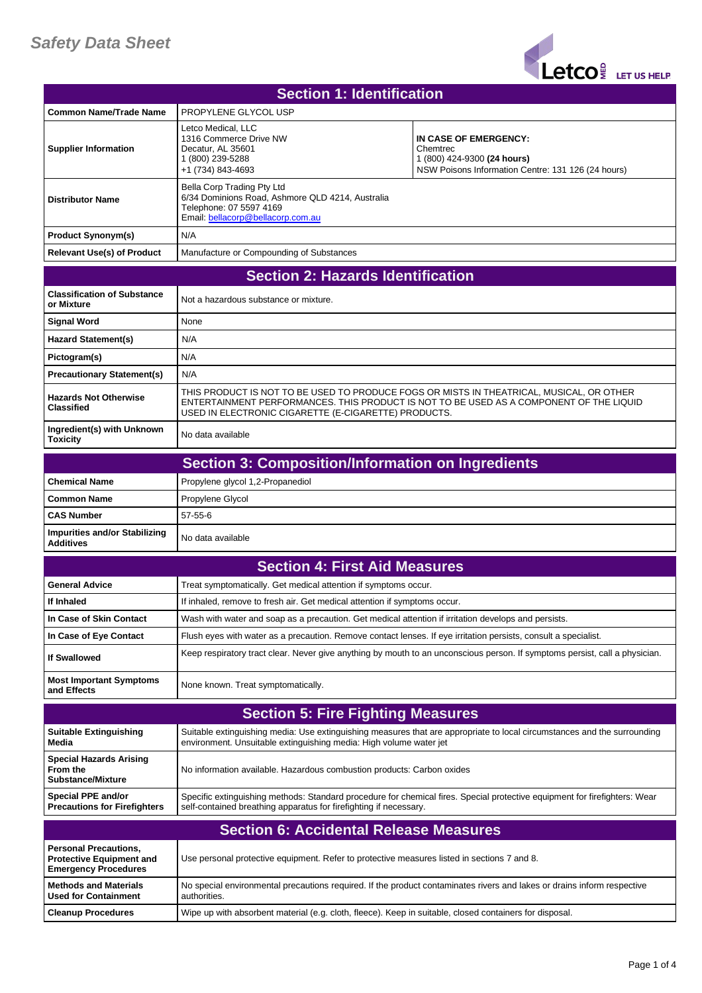## *Safety Data Sheet*



| <b>Section 1: Identification</b>                                                               |                                                                                                                                                  |                                                                                                                             |
|------------------------------------------------------------------------------------------------|--------------------------------------------------------------------------------------------------------------------------------------------------|-----------------------------------------------------------------------------------------------------------------------------|
| <b>Common Name/Trade Name</b>                                                                  | PROPYLENE GLYCOL USP                                                                                                                             |                                                                                                                             |
| <b>Supplier Information</b>                                                                    | Letco Medical, LLC<br>1316 Commerce Drive NW<br>Decatur, AL 35601<br>1 (800) 239-5288<br>+1 (734) 843-4693                                       | IN CASE OF EMERGENCY:<br>Chemtrec<br>1 (800) 424-9300 (24 hours)<br>NSW Poisons Information Centre: 131 126 (24 hours)      |
| <b>Distributor Name</b>                                                                        | Bella Corp Trading Pty Ltd<br>6/34 Dominions Road, Ashmore QLD 4214, Australia<br>Telephone: 07 5597 4169<br>Email: bellacorp@bellacorp.com.au   |                                                                                                                             |
| <b>Product Synonym(s)</b>                                                                      | N/A                                                                                                                                              |                                                                                                                             |
| <b>Relevant Use(s) of Product</b>                                                              | Manufacture or Compounding of Substances                                                                                                         |                                                                                                                             |
| <b>Section 2: Hazards Identification</b>                                                       |                                                                                                                                                  |                                                                                                                             |
| <b>Classification of Substance</b><br>or Mixture                                               | Not a hazardous substance or mixture.                                                                                                            |                                                                                                                             |
| <b>Signal Word</b>                                                                             | None                                                                                                                                             |                                                                                                                             |
| <b>Hazard Statement(s)</b>                                                                     | N/A                                                                                                                                              |                                                                                                                             |
| Pictogram(s)                                                                                   | N/A                                                                                                                                              |                                                                                                                             |
| <b>Precautionary Statement(s)</b>                                                              | N/A                                                                                                                                              |                                                                                                                             |
| <b>Hazards Not Otherwise</b><br><b>Classified</b>                                              | THIS PRODUCT IS NOT TO BE USED TO PRODUCE FOGS OR MISTS IN THEATRICAL, MUSICAL, OR OTHER<br>USED IN ELECTRONIC CIGARETTE (E-CIGARETTE) PRODUCTS. | ENTERTAINMENT PERFORMANCES. THIS PRODUCT IS NOT TO BE USED AS A COMPONENT OF THE LIQUID                                     |
| Ingredient(s) with Unknown<br><b>Toxicity</b>                                                  | No data available                                                                                                                                |                                                                                                                             |
|                                                                                                | <b>Section 3: Composition/Information on Ingredients</b>                                                                                         |                                                                                                                             |
| <b>Chemical Name</b>                                                                           | Propylene glycol 1,2-Propanediol                                                                                                                 |                                                                                                                             |
| <b>Common Name</b>                                                                             | Propylene Glycol                                                                                                                                 |                                                                                                                             |
| <b>CAS Number</b>                                                                              | 57-55-6                                                                                                                                          |                                                                                                                             |
| <b>Impurities and/or Stabilizing</b><br><b>Additives</b>                                       | No data available                                                                                                                                |                                                                                                                             |
|                                                                                                | <b>Section 4: First Aid Measures</b>                                                                                                             |                                                                                                                             |
| <b>General Advice</b>                                                                          | Treat symptomatically. Get medical attention if symptoms occur.                                                                                  |                                                                                                                             |
| If Inhaled                                                                                     | If inhaled, remove to fresh air. Get medical attention if symptoms occur.                                                                        |                                                                                                                             |
| In Case of Skin Contact                                                                        | Wash with water and soap as a precaution. Get medical attention if irritation develops and persists.                                             |                                                                                                                             |
| In Case of Eye Contact                                                                         | Flush eyes with water as a precaution. Remove contact lenses. If eye irritation persists, consult a specialist.                                  |                                                                                                                             |
| <b>If Swallowed</b>                                                                            |                                                                                                                                                  | Keep respiratory tract clear. Never give anything by mouth to an unconscious person. If symptoms persist, call a physician. |
| <b>Most Important Symptoms</b><br>and Effects                                                  | None known. Treat symptomatically.                                                                                                               |                                                                                                                             |
|                                                                                                | <b>Section 5: Fire Fighting Measures</b>                                                                                                         |                                                                                                                             |
| <b>Suitable Extinguishing</b><br>Media                                                         | environment. Unsuitable extinguishing media: High volume water jet                                                                               | Suitable extinguishing media: Use extinguishing measures that are appropriate to local circumstances and the surrounding    |
| <b>Special Hazards Arising</b><br>From the<br><b>Substance/Mixture</b>                         | No information available. Hazardous combustion products: Carbon oxides                                                                           |                                                                                                                             |
| <b>Special PPE and/or</b><br><b>Precautions for Firefighters</b>                               | self-contained breathing apparatus for firefighting if necessary.                                                                                | Specific extinguishing methods: Standard procedure for chemical fires. Special protective equipment for firefighters: Wear  |
|                                                                                                | <b>Section 6: Accidental Release Measures</b>                                                                                                    |                                                                                                                             |
| <b>Personal Precautions,</b><br><b>Protective Equipment and</b><br><b>Emergency Procedures</b> | Use personal protective equipment. Refer to protective measures listed in sections 7 and 8.                                                      |                                                                                                                             |
| <b>Methods and Materials</b><br><b>Used for Containment</b>                                    | authorities.                                                                                                                                     | No special environmental precautions required. If the product contaminates rivers and lakes or drains inform respective     |
| <b>Cleanup Procedures</b>                                                                      | Wipe up with absorbent material (e.g. cloth, fleece). Keep in suitable, closed containers for disposal.                                          |                                                                                                                             |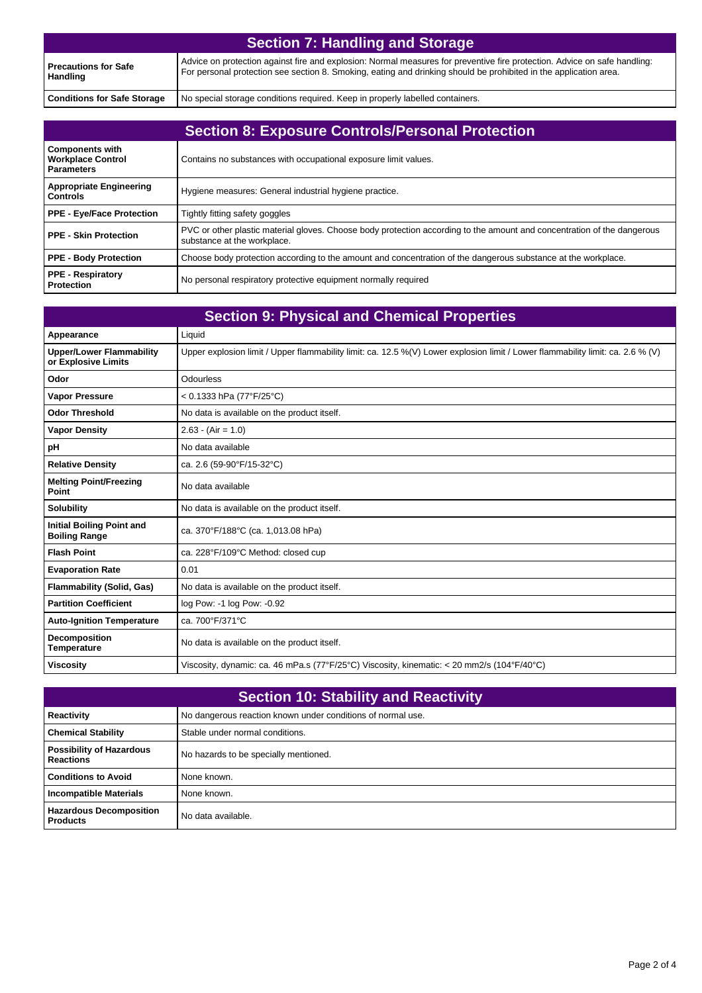| <b>Section 7: Handling and Storage</b>  |                                                                                                                                                                                                                                                |
|-----------------------------------------|------------------------------------------------------------------------------------------------------------------------------------------------------------------------------------------------------------------------------------------------|
| <b>Precautions for Safe</b><br>Handling | Advice on protection against fire and explosion: Normal measures for preventive fire protection. Advice on safe handling:<br>For personal protection see section 8. Smoking, eating and drinking should be prohibited in the application area. |
| <b>Conditions for Safe Storage</b>      | No special storage conditions required. Keep in properly labelled containers.                                                                                                                                                                  |

| <b>Section 8: Exposure Controls/Personal Protection</b>                 |                                                                                                                                                        |
|-------------------------------------------------------------------------|--------------------------------------------------------------------------------------------------------------------------------------------------------|
| <b>Components with</b><br><b>Workplace Control</b><br><b>Parameters</b> | Contains no substances with occupational exposure limit values.                                                                                        |
| <b>Appropriate Engineering</b><br><b>Controls</b>                       | Hygiene measures: General industrial hygiene practice.                                                                                                 |
| <b>PPE - Eye/Face Protection</b>                                        | Tightly fitting safety goggles                                                                                                                         |
| <b>PPE - Skin Protection</b>                                            | PVC or other plastic material gloves. Choose body protection according to the amount and concentration of the dangerous<br>substance at the workplace. |
| <b>PPE - Body Protection</b>                                            | Choose body protection according to the amount and concentration of the dangerous substance at the workplace.                                          |
| <b>PPE - Respiratory</b><br>Protection                                  | No personal respiratory protective equipment normally required                                                                                         |

| <b>Section 9: Physical and Chemical Properties</b>       |                                                                                                                                 |
|----------------------------------------------------------|---------------------------------------------------------------------------------------------------------------------------------|
| Appearance                                               | Liquid                                                                                                                          |
| <b>Upper/Lower Flammability</b><br>or Explosive Limits   | Upper explosion limit / Upper flammability limit: ca. 12.5 %(V) Lower explosion limit / Lower flammability limit: ca. 2.6 % (V) |
| Odor                                                     | Odourless                                                                                                                       |
| <b>Vapor Pressure</b>                                    | < $0.1333$ hPa (77°F/25°C)                                                                                                      |
| <b>Odor Threshold</b>                                    | No data is available on the product itself.                                                                                     |
| <b>Vapor Density</b>                                     | $2.63 - (Air = 1.0)$                                                                                                            |
| pH                                                       | No data available                                                                                                               |
| <b>Relative Density</b>                                  | ca. 2.6 (59-90°F/15-32°C)                                                                                                       |
| <b>Melting Point/Freezing</b><br>Point                   | No data available                                                                                                               |
| <b>Solubility</b>                                        | No data is available on the product itself.                                                                                     |
| <b>Initial Boiling Point and</b><br><b>Boiling Range</b> | ca. 370°F/188°C (ca. 1,013.08 hPa)                                                                                              |
| <b>Flash Point</b>                                       | ca. 228°F/109°C Method: closed cup                                                                                              |
| <b>Evaporation Rate</b>                                  | 0.01                                                                                                                            |
| <b>Flammability (Solid, Gas)</b>                         | No data is available on the product itself.                                                                                     |
| <b>Partition Coefficient</b>                             | log Pow: -1 log Pow: -0.92                                                                                                      |
| <b>Auto-Ignition Temperature</b>                         | ca. 700°F/371°C                                                                                                                 |
| Decomposition<br><b>Temperature</b>                      | No data is available on the product itself.                                                                                     |
| <b>Viscosity</b>                                         | Viscosity, dynamic: ca. 46 mPa.s (77°F/25°C) Viscosity, kinematic: < 20 mm2/s (104°F/40°C)                                      |

| <b>Section 10: Stability and Reactivity</b>         |                                                             |
|-----------------------------------------------------|-------------------------------------------------------------|
| Reactivity                                          | No dangerous reaction known under conditions of normal use. |
| <b>Chemical Stability</b>                           | Stable under normal conditions.                             |
| <b>Possibility of Hazardous</b><br><b>Reactions</b> | No hazards to be specially mentioned.                       |
| <b>Conditions to Avoid</b>                          | None known.                                                 |
| <b>Incompatible Materials</b>                       | None known.                                                 |
| <b>Hazardous Decomposition</b><br><b>Products</b>   | No data available.                                          |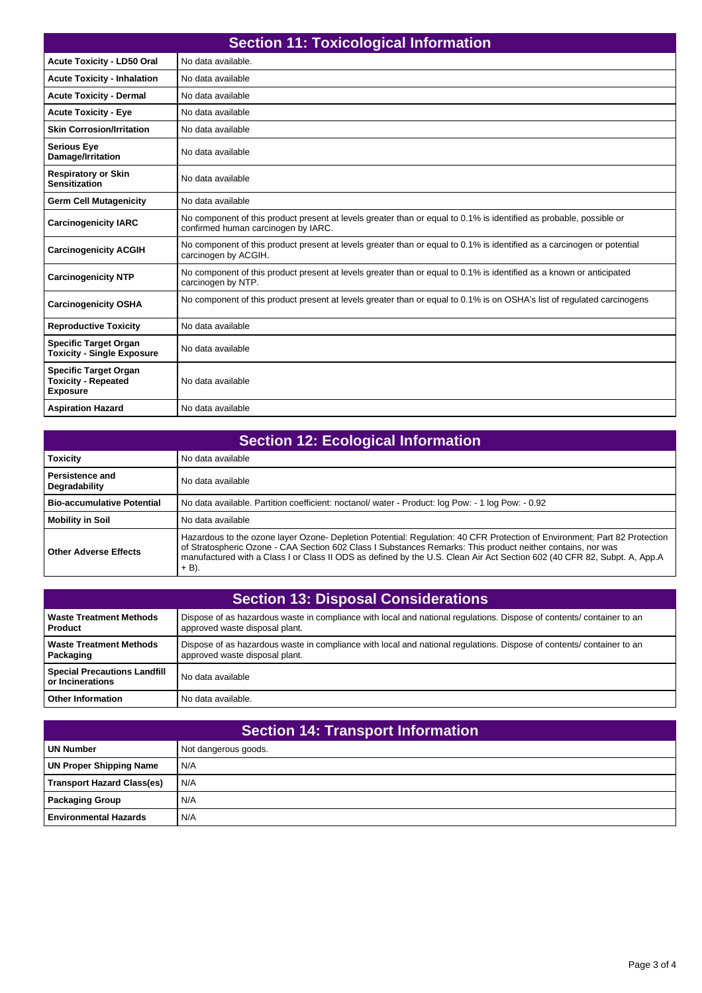| <b>Section 11: Toxicological Information</b>                                  |                                                                                                                                                            |
|-------------------------------------------------------------------------------|------------------------------------------------------------------------------------------------------------------------------------------------------------|
| Acute Toxicity - LD50 Oral                                                    | No data available.                                                                                                                                         |
| <b>Acute Toxicity - Inhalation</b>                                            | No data available                                                                                                                                          |
| <b>Acute Toxicity - Dermal</b>                                                | No data available                                                                                                                                          |
| <b>Acute Toxicity - Eye</b>                                                   | No data available                                                                                                                                          |
| <b>Skin Corrosion/Irritation</b>                                              | No data available                                                                                                                                          |
| <b>Serious Eye</b><br>Damage/Irritation                                       | No data available                                                                                                                                          |
| <b>Respiratory or Skin</b><br><b>Sensitization</b>                            | No data available                                                                                                                                          |
| <b>Germ Cell Mutagenicity</b>                                                 | No data available                                                                                                                                          |
| <b>Carcinogenicity IARC</b>                                                   | No component of this product present at levels greater than or equal to 0.1% is identified as probable, possible or<br>confirmed human carcinogen by IARC. |
| <b>Carcinogenicity ACGIH</b>                                                  | No component of this product present at levels greater than or equal to 0.1% is identified as a carcinogen or potential<br>carcinogen by ACGIH.            |
| <b>Carcinogenicity NTP</b>                                                    | No component of this product present at levels greater than or equal to 0.1% is identified as a known or anticipated<br>carcinogen by NTP.                 |
| <b>Carcinogenicity OSHA</b>                                                   | No component of this product present at levels greater than or equal to 0.1% is on OSHA's list of regulated carcinogens                                    |
| <b>Reproductive Toxicity</b>                                                  | No data available                                                                                                                                          |
| <b>Specific Target Organ</b><br><b>Toxicity - Single Exposure</b>             | No data available                                                                                                                                          |
| <b>Specific Target Organ</b><br><b>Toxicity - Repeated</b><br><b>Exposure</b> | No data available                                                                                                                                          |
| <b>Aspiration Hazard</b>                                                      | No data available                                                                                                                                          |

| <b>Section 12: Ecological Information</b> |                                                                                                                                                                                                                                                                                                                                                                                 |
|-------------------------------------------|---------------------------------------------------------------------------------------------------------------------------------------------------------------------------------------------------------------------------------------------------------------------------------------------------------------------------------------------------------------------------------|
| <b>Toxicity</b>                           | No data available                                                                                                                                                                                                                                                                                                                                                               |
| <b>Persistence and</b><br>Degradability   | No data available                                                                                                                                                                                                                                                                                                                                                               |
| <b>Bio-accumulative Potential</b>         | No data available. Partition coefficient: noctanol/water - Product: log Pow: - 1 log Pow: - 0.92                                                                                                                                                                                                                                                                                |
| <b>Mobility in Soil</b>                   | No data available                                                                                                                                                                                                                                                                                                                                                               |
| <b>Other Adverse Effects</b>              | Hazardous to the ozone layer Ozone- Depletion Potential: Regulation: 40 CFR Protection of Environment; Part 82 Protection<br>of Stratospheric Ozone - CAA Section 602 Class I Substances Remarks: This product neither contains, nor was<br>manufactured with a Class I or Class II ODS as defined by the U.S. Clean Air Act Section 602 (40 CFR 82, Subpt. A, App.A<br>$+$ B). |

| <b>Section 13: Disposal Considerations</b>              |                                                                                                                                                         |
|---------------------------------------------------------|---------------------------------------------------------------------------------------------------------------------------------------------------------|
| <b>Waste Treatment Methods</b><br><b>Product</b>        | Dispose of as hazardous waste in compliance with local and national regulations. Dispose of contents/ container to an<br>approved waste disposal plant. |
| <b>Waste Treatment Methods</b><br>Packaging             | Dispose of as hazardous waste in compliance with local and national regulations. Dispose of contents/ container to an<br>approved waste disposal plant. |
| <b>Special Precautions Landfill</b><br>or Incinerations | No data available                                                                                                                                       |
| <b>Other Information</b>                                | No data available.                                                                                                                                      |

| <b>Section 14: Transport Information</b> |                      |
|------------------------------------------|----------------------|
| UN Number                                | Not dangerous goods. |
| UN Proper Shipping Name                  | N/A                  |
| <b>Transport Hazard Class(es)</b>        | N/A                  |
| <b>Packaging Group</b>                   | N/A                  |
| <b>Environmental Hazards</b>             | N/A                  |